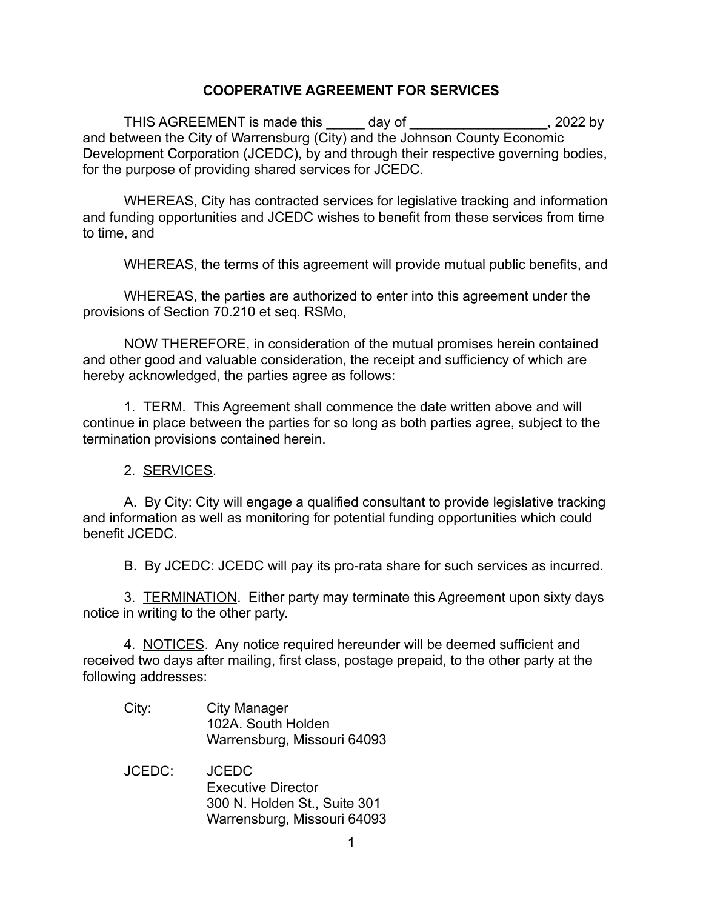## **COOPERATIVE AGREEMENT FOR SERVICES**

THIS AGREEMENT is made this day of THIS AGREEMENT is made this and between the City of Warrensburg (City) and the Johnson County Economic Development Corporation (JCEDC), by and through their respective governing bodies, for the purpose of providing shared services for JCEDC.

WHEREAS, City has contracted services for legislative tracking and information and funding opportunities and JCEDC wishes to benefit from these services from time to time, and

WHEREAS, the terms of this agreement will provide mutual public benefits, and

WHEREAS, the parties are authorized to enter into this agreement under the provisions of Section 70.210 et seq. RSMo,

NOW THEREFORE, in consideration of the mutual promises herein contained and other good and valuable consideration, the receipt and sufficiency of which are hereby acknowledged, the parties agree as follows:

1. TERM*.* This Agreement shall commence the date written above and will continue in place between the parties for so long as both parties agree, subject to the termination provisions contained herein.

## 2. SERVICES.

A. By City: City will engage a qualified consultant to provide legislative tracking and information as well as monitoring for potential funding opportunities which could benefit JCEDC.

B. By JCEDC: JCEDC will pay its pro-rata share for such services as incurred.

3. **TERMINATION.** Either party may terminate this Agreement upon sixty days notice in writing to the other party.

4. NOTICES. Any notice required hereunder will be deemed sufficient and received two days after mailing, first class, postage prepaid, to the other party at the following addresses:

- City: City Manager 102A. South Holden Warrensburg, Missouri 64093
- JCEDC: JCEDC Executive Director 300 N. Holden St., Suite 301 Warrensburg, Missouri 64093